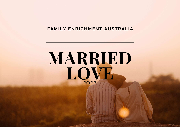#### **FAMILY ENRICHMENT AUSTRALIA**

# **MARRIED LOVE 2022**